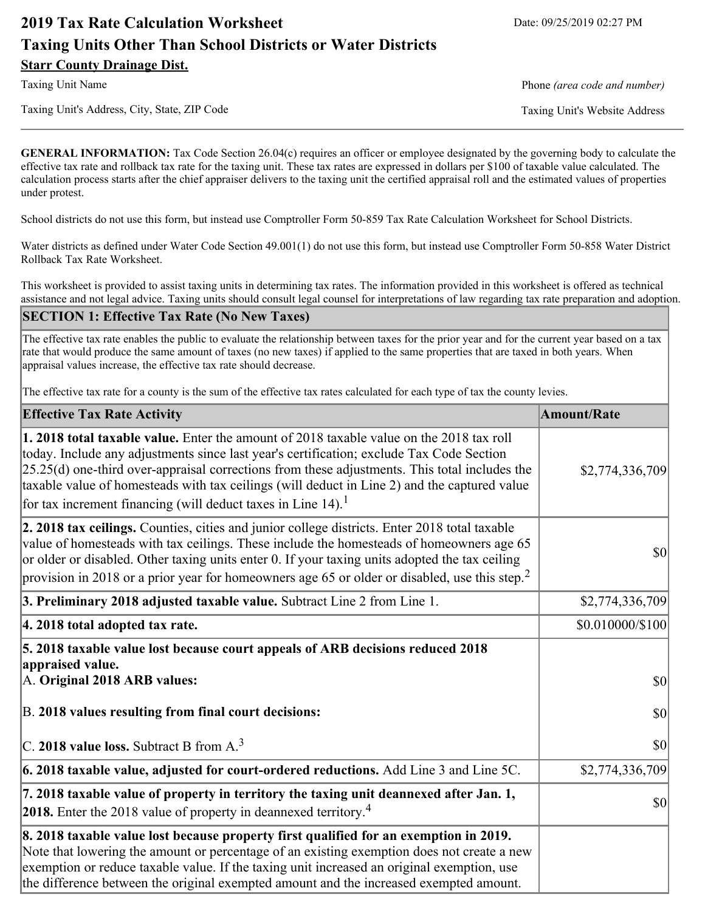# **2019 Tax Rate Calculation Worksheet** Date: 09/25/2019 02:27 PM **Taxing Units Other Than School Districts or Water Districts Starr County Drainage Dist.**

Taxing Unit's Address, City, State, ZIP Code Taxing Unit's Website Address

Taxing Unit Name **Phone** *(area code and number)* Phone *(area code and number)* 

**GENERAL INFORMATION:** Tax Code Section 26.04(c) requires an officer or employee designated by the governing body to calculate the effective tax rate and rollback tax rate for the taxing unit. These tax rates are expressed in dollars per \$100 of taxable value calculated. The calculation process starts after the chief appraiser delivers to the taxing unit the certified appraisal roll and the estimated values of properties under protest.

School districts do not use this form, but instead use Comptroller Form 50-859 Tax Rate Calculation Worksheet for School Districts.

Water districts as defined under Water Code Section 49.001(1) do not use this form, but instead use Comptroller Form 50-858 Water District Rollback Tax Rate Worksheet.

This worksheet is provided to assist taxing units in determining tax rates. The information provided in this worksheet is offered as technical assistance and not legal advice. Taxing units should consult legal counsel for interpretations of law regarding tax rate preparation and adoption.

### **SECTION 1: Effective Tax Rate (No New Taxes)**

The effective tax rate enables the public to evaluate the relationship between taxes for the prior year and for the current year based on a tax rate that would produce the same amount of taxes (no new taxes) if applied to the same properties that are taxed in both years. When appraisal values increase, the effective tax rate should decrease.

The effective tax rate for a county is the sum of the effective tax rates calculated for each type of tax the county levies.

| <b>Effective Tax Rate Activity</b>                                                                                                                                                                                                                                                                                                                                                                                                                                             | <b>Amount/Rate</b> |
|--------------------------------------------------------------------------------------------------------------------------------------------------------------------------------------------------------------------------------------------------------------------------------------------------------------------------------------------------------------------------------------------------------------------------------------------------------------------------------|--------------------|
| <b>1. 2018 total taxable value.</b> Enter the amount of 2018 taxable value on the 2018 tax roll<br>today. Include any adjustments since last year's certification; exclude Tax Code Section<br>$[25.25(d)$ one-third over-appraisal corrections from these adjustments. This total includes the<br>taxable value of homesteads with tax ceilings (will deduct in Line 2) and the captured value<br>for tax increment financing (will deduct taxes in Line $14$ ). <sup>1</sup> | \$2,774,336,709    |
| 2. 2018 tax ceilings. Counties, cities and junior college districts. Enter 2018 total taxable<br>value of homesteads with tax ceilings. These include the homesteads of homeowners age 65<br>or older or disabled. Other taxing units enter 0. If your taxing units adopted the tax ceiling<br>provision in 2018 or a prior year for homeowners age 65 or older or disabled, use this step. <sup>2</sup>                                                                       | $ 10\rangle$       |
| 3. Preliminary 2018 adjusted taxable value. Subtract Line 2 from Line 1.                                                                                                                                                                                                                                                                                                                                                                                                       | \$2,774,336,709    |
| 4. 2018 total adopted tax rate.                                                                                                                                                                                                                                                                                                                                                                                                                                                | \$0.010000/\$100   |
| 5. 2018 taxable value lost because court appeals of ARB decisions reduced 2018<br>appraised value.                                                                                                                                                                                                                                                                                                                                                                             |                    |
| A. Original 2018 ARB values:                                                                                                                                                                                                                                                                                                                                                                                                                                                   | <b>\$0</b>         |
| B. 2018 values resulting from final court decisions:                                                                                                                                                                                                                                                                                                                                                                                                                           | <b>\$0</b>         |
| $\vert$ C. 2018 value loss. Subtract B from A. <sup>3</sup>                                                                                                                                                                                                                                                                                                                                                                                                                    | \$0                |
| 6. 2018 taxable value, adjusted for court-ordered reductions. Add Line 3 and Line 5C.                                                                                                                                                                                                                                                                                                                                                                                          | \$2,774,336,709    |
| 7. 2018 taxable value of property in territory the taxing unit deannexed after Jan. 1,<br><b>2018.</b> Enter the 2018 value of property in deannexed territory. <sup>4</sup>                                                                                                                                                                                                                                                                                                   | $ 10\rangle$       |
| 8. 2018 taxable value lost because property first qualified for an exemption in 2019.<br>Note that lowering the amount or percentage of an existing exemption does not create a new<br>exemption or reduce taxable value. If the taxing unit increased an original exemption, use<br>the difference between the original exempted amount and the increased exempted amount.                                                                                                    |                    |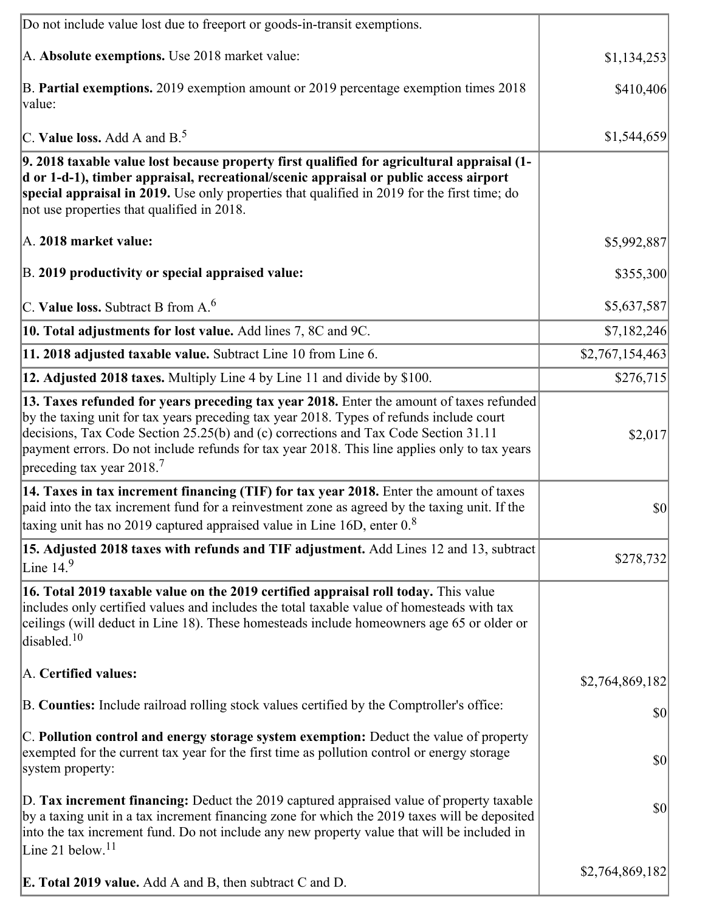| Do not include value lost due to freeport or goods-in-transit exemptions.                                                                                                                                                                                                                                                                                                                                              |                 |
|------------------------------------------------------------------------------------------------------------------------------------------------------------------------------------------------------------------------------------------------------------------------------------------------------------------------------------------------------------------------------------------------------------------------|-----------------|
| A. Absolute exemptions. Use 2018 market value:                                                                                                                                                                                                                                                                                                                                                                         | \$1,134,253     |
| B. Partial exemptions. 2019 exemption amount or 2019 percentage exemption times 2018<br>value:                                                                                                                                                                                                                                                                                                                         | \$410,406       |
| C. Value loss. Add A and $B^5$ .                                                                                                                                                                                                                                                                                                                                                                                       | \$1,544,659     |
| 9. 2018 taxable value lost because property first qualified for agricultural appraisal (1-<br>d or 1-d-1), timber appraisal, recreational/scenic appraisal or public access airport<br>special appraisal in 2019. Use only properties that qualified in 2019 for the first time; do<br>not use properties that qualified in 2018.                                                                                      |                 |
| A. 2018 market value:                                                                                                                                                                                                                                                                                                                                                                                                  | \$5,992,887     |
| B. 2019 productivity or special appraised value:                                                                                                                                                                                                                                                                                                                                                                       | \$355,300       |
| C. Value loss. Subtract B from $A6$                                                                                                                                                                                                                                                                                                                                                                                    | \$5,637,587     |
| 10. Total adjustments for lost value. Add lines 7, 8C and 9C.                                                                                                                                                                                                                                                                                                                                                          | \$7,182,246     |
| 11. 2018 adjusted taxable value. Subtract Line 10 from Line 6.                                                                                                                                                                                                                                                                                                                                                         | \$2,767,154,463 |
| 12. Adjusted 2018 taxes. Multiply Line 4 by Line 11 and divide by \$100.                                                                                                                                                                                                                                                                                                                                               | \$276,715       |
| 13. Taxes refunded for years preceding tax year 2018. Enter the amount of taxes refunded<br>by the taxing unit for tax years preceding tax year 2018. Types of refunds include court<br>decisions, Tax Code Section 25.25(b) and (c) corrections and Tax Code Section 31.11<br>payment errors. Do not include refunds for tax year 2018. This line applies only to tax years<br>preceding tax year $2018$ <sup>7</sup> | \$2,017         |
| 14. Taxes in tax increment financing (TIF) for tax year 2018. Enter the amount of taxes<br>paid into the tax increment fund for a reinvestment zone as agreed by the taxing unit. If the<br>taxing unit has no 2019 captured appraised value in Line 16D, enter $0.8$                                                                                                                                                  | \$0             |
| 15. Adjusted 2018 taxes with refunds and TIF adjustment. Add Lines 12 and 13, subtract<br>Line $14.9$                                                                                                                                                                                                                                                                                                                  | \$278,732       |
| 16. Total 2019 taxable value on the 2019 certified appraisal roll today. This value<br>includes only certified values and includes the total taxable value of homesteads with tax<br>ceilings (will deduct in Line 18). These homesteads include homeowners age 65 or older or<br>disabled. <sup>10</sup>                                                                                                              |                 |
| A. Certified values:                                                                                                                                                                                                                                                                                                                                                                                                   | \$2,764,869,182 |
| B. Counties: Include railroad rolling stock values certified by the Comptroller's office:                                                                                                                                                                                                                                                                                                                              | \$0             |
| C. Pollution control and energy storage system exemption: Deduct the value of property<br>exempted for the current tax year for the first time as pollution control or energy storage<br>system property:                                                                                                                                                                                                              | \$0             |
| D. Tax increment financing: Deduct the 2019 captured appraised value of property taxable<br>by a taxing unit in a tax increment financing zone for which the 2019 taxes will be deposited<br>into the tax increment fund. Do not include any new property value that will be included in<br>Line 21 below. <sup>11</sup>                                                                                               | \$0             |
| <b>E. Total 2019 value.</b> Add A and B, then subtract C and D.                                                                                                                                                                                                                                                                                                                                                        | \$2,764,869,182 |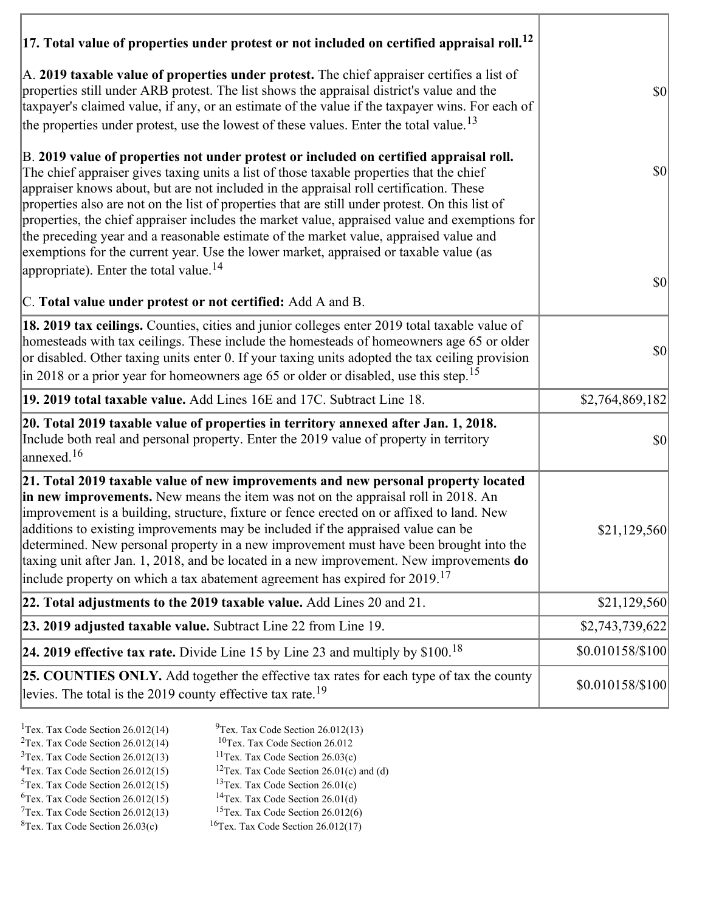| $ 17$ . Total value of properties under protest or not included on certified appraisal roll. $^{12}$                                                                                                                                                                                                                                                                                                                                                                                                                                                                                                                                                               |                                     |
|--------------------------------------------------------------------------------------------------------------------------------------------------------------------------------------------------------------------------------------------------------------------------------------------------------------------------------------------------------------------------------------------------------------------------------------------------------------------------------------------------------------------------------------------------------------------------------------------------------------------------------------------------------------------|-------------------------------------|
| A. 2019 taxable value of properties under protest. The chief appraiser certifies a list of<br>properties still under ARB protest. The list shows the appraisal district's value and the<br>taxpayer's claimed value, if any, or an estimate of the value if the taxpayer wins. For each of<br>the properties under protest, use the lowest of these values. Enter the total value. <sup>13</sup>                                                                                                                                                                                                                                                                   | $ 10\rangle$                        |
| B. 2019 value of properties not under protest or included on certified appraisal roll.<br>The chief appraiser gives taxing units a list of those taxable properties that the chief<br>appraiser knows about, but are not included in the appraisal roll certification. These<br>properties also are not on the list of properties that are still under protest. On this list of<br>properties, the chief appraiser includes the market value, appraised value and exemptions for<br>the preceding year and a reasonable estimate of the market value, appraised value and<br>exemptions for the current year. Use the lower market, appraised or taxable value (as | $ 10\rangle$                        |
| appropriate). Enter the total value. <sup>14</sup><br>C. Total value under protest or not certified: Add A and B.                                                                                                                                                                                                                                                                                                                                                                                                                                                                                                                                                  | $\vert \mathbf{S} \mathbf{0} \vert$ |
| 18. 2019 tax ceilings. Counties, cities and junior colleges enter 2019 total taxable value of<br>homesteads with tax ceilings. These include the homesteads of homeowners age 65 or older<br>or disabled. Other taxing units enter 0. If your taxing units adopted the tax ceiling provision<br>in 2018 or a prior year for homeowners age 65 or older or disabled, use this step. <sup>15</sup>                                                                                                                                                                                                                                                                   | $ 10\rangle$                        |
| 19. 2019 total taxable value. Add Lines 16E and 17C. Subtract Line 18.                                                                                                                                                                                                                                                                                                                                                                                                                                                                                                                                                                                             | \$2,764,869,182                     |
| 20. Total 2019 taxable value of properties in territory annexed after Jan. 1, 2018.<br>Include both real and personal property. Enter the 2019 value of property in territory<br>annexed. <sup>16</sup>                                                                                                                                                                                                                                                                                                                                                                                                                                                            | $ 10\rangle$                        |
| 21. Total 2019 taxable value of new improvements and new personal property located<br>in new improvements. New means the item was not on the appraisal roll in 2018. An<br>improvement is a building, structure, fixture or fence erected on or affixed to land. New<br>additions to existing improvements may be included if the appraised value can be<br>determined. New personal property in a new improvement must have been brought into the<br>taxing unit after Jan. 1, 2018, and be located in a new improvement. New improvements do<br>include property on which a tax abatement agreement has expired for $2019$ . <sup>17</sup>                       | \$21,129,560                        |
| 22. Total adjustments to the 2019 taxable value. Add Lines 20 and 21.                                                                                                                                                                                                                                                                                                                                                                                                                                                                                                                                                                                              | \$21,129,560                        |
| 23. 2019 adjusted taxable value. Subtract Line 22 from Line 19.                                                                                                                                                                                                                                                                                                                                                                                                                                                                                                                                                                                                    | \$2,743,739,622                     |
| 24. 2019 effective tax rate. Divide Line 15 by Line 23 and multiply by \$100. <sup>18</sup>                                                                                                                                                                                                                                                                                                                                                                                                                                                                                                                                                                        | \$0.010158/\$100                    |
| 25. COUNTIES ONLY. Add together the effective tax rates for each type of tax the county<br>levies. The total is the 2019 county effective tax rate. <sup>19</sup>                                                                                                                                                                                                                                                                                                                                                                                                                                                                                                  | \$0.010158/\$100                    |

- 
- <sup>1</sup>Tex. Tax Code Section 26.012(14) <sup>9</sup>Tex. Tax Code Section 26.012(13) <sup>9</sup>Tex. Tax Code Section 26.012
- <sup>2</sup>Tex. Tax Code Section 26.012(14) <sup>10</sup>Tex. Tax Code Section 26.012<br><sup>3</sup>Tex. Tax Code Section 26.03(c) <sup>11</sup>Tex. Tax Code Section 26.03(c)
	- <sup>12</sup>Tex. Tax Code Section 26.01(c) and (d) <sup>13</sup>Tex. Tax Code Section 26.01(c)
- ${}^{3}$ Tex. Tax Code Section 26.012(13)<br> ${}^{4}$ Tex. Tax Code Section 26.012(15)
- <sup>5</sup>Tex. Tax Code Section 26.012(15) <sup>13</sup>Tex. Tax Code Section 26.01(c)<br><sup>6</sup>Tex. Tax Code Section 26.012(15) <sup>14</sup>Tex. Tax Code Section 26.01(d)
- <sup>6</sup>Tex. Tax Code Section 26.012(15) <sup>14</sup>Tex. Tax Code Section 26.01(d)<br><sup>7</sup>Tex. Tax Code Section 26.012(13) <sup>15</sup>Tex. Tax Code Section 26.012(6)
	-
- $7$ Tex. Tax Code Section 26.012(13)<br><sup>8</sup>Tex. Tax Code Section 26.03(c)
- $16$ Tex. Tax Code Section 26.012(17)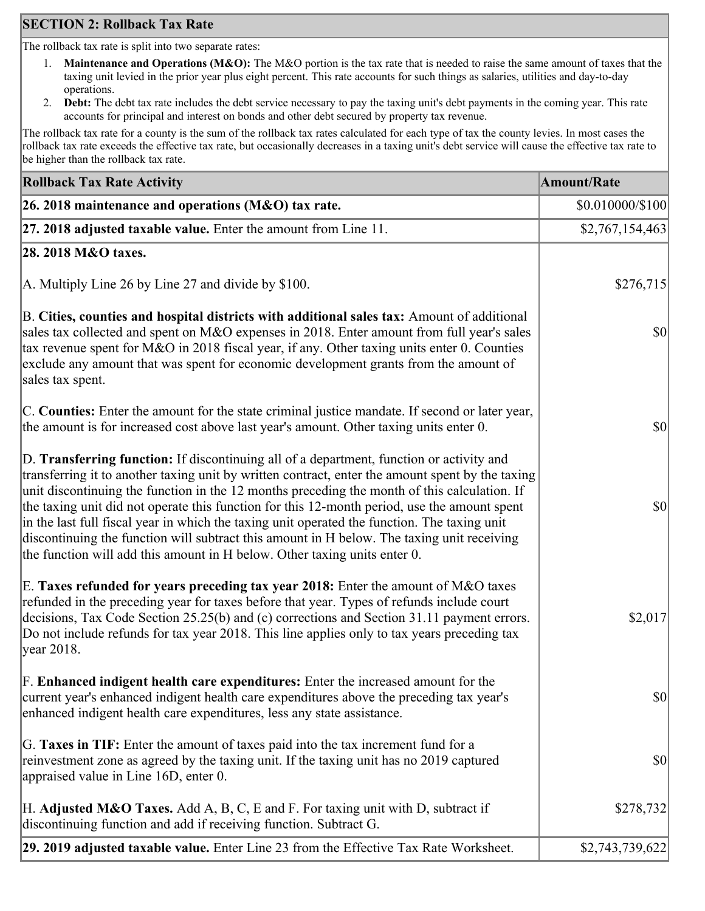# **SECTION 2: Rollback Tax Rate**

The rollback tax rate is split into two separate rates:

- 1. **Maintenance and Operations (M&O):** The M&O portion is the tax rate that is needed to raise the same amount of taxes that the taxing unit levied in the prior year plus eight percent. This rate accounts for such things as salaries, utilities and day-to-day operations.
- 2. **Debt:** The debt tax rate includes the debt service necessary to pay the taxing unit's debt payments in the coming year. This rate accounts for principal and interest on bonds and other debt secured by property tax revenue.

The rollback tax rate for a county is the sum of the rollback tax rates calculated for each type of tax the county levies. In most cases the rollback tax rate exceeds the effective tax rate, but occasionally decreases in a taxing unit's debt service will cause the effective tax rate to be higher than the rollback tax rate.

| <b>Rollback Tax Rate Activity</b>                                                                                                                                                                                                                                                                                                                                                                                                                                                                                                                                                                                                                                       | <b>Amount/Rate</b>                  |
|-------------------------------------------------------------------------------------------------------------------------------------------------------------------------------------------------------------------------------------------------------------------------------------------------------------------------------------------------------------------------------------------------------------------------------------------------------------------------------------------------------------------------------------------------------------------------------------------------------------------------------------------------------------------------|-------------------------------------|
| 26. 2018 maintenance and operations (M&O) tax rate.                                                                                                                                                                                                                                                                                                                                                                                                                                                                                                                                                                                                                     | \$0.010000/\$100                    |
| 27. 2018 adjusted taxable value. Enter the amount from Line 11.                                                                                                                                                                                                                                                                                                                                                                                                                                                                                                                                                                                                         | \$2,767,154,463                     |
| 28. 2018 M&O taxes.                                                                                                                                                                                                                                                                                                                                                                                                                                                                                                                                                                                                                                                     |                                     |
| A. Multiply Line 26 by Line 27 and divide by $$100$ .                                                                                                                                                                                                                                                                                                                                                                                                                                                                                                                                                                                                                   | \$276,715                           |
| B. Cities, counties and hospital districts with additional sales tax: Amount of additional<br>sales tax collected and spent on M&O expenses in 2018. Enter amount from full year's sales<br>tax revenue spent for M&O in 2018 fiscal year, if any. Other taxing units enter 0. Counties<br>exclude any amount that was spent for economic development grants from the amount of<br>sales tax spent.                                                                                                                                                                                                                                                                     | $\vert \mathbf{S} \mathbf{O} \vert$ |
| C. Counties: Enter the amount for the state criminal justice mandate. If second or later year,<br>the amount is for increased cost above last year's amount. Other taxing units enter 0.                                                                                                                                                                                                                                                                                                                                                                                                                                                                                | $ 10\rangle$                        |
| D. Transferring function: If discontinuing all of a department, function or activity and<br>transferring it to another taxing unit by written contract, enter the amount spent by the taxing<br>unit discontinuing the function in the 12 months preceding the month of this calculation. If<br>the taxing unit did not operate this function for this 12-month period, use the amount spent<br>in the last full fiscal year in which the taxing unit operated the function. The taxing unit<br>discontinuing the function will subtract this amount in H below. The taxing unit receiving<br>the function will add this amount in H below. Other taxing units enter 0. | $\vert \mathbf{S} \mathbf{0} \vert$ |
| E. Taxes refunded for years preceding tax year 2018: Enter the amount of M&O taxes<br>refunded in the preceding year for taxes before that year. Types of refunds include court<br>decisions, Tax Code Section 25.25(b) and (c) corrections and Section 31.11 payment errors.<br>Do not include refunds for tax year 2018. This line applies only to tax years preceding tax<br> year 2018.                                                                                                                                                                                                                                                                             | \$2,017                             |
| F. Enhanced indigent health care expenditures: Enter the increased amount for the<br>current year's enhanced indigent health care expenditures above the preceding tax year's<br>enhanced indigent health care expenditures, less any state assistance.                                                                                                                                                                                                                                                                                                                                                                                                                 | $\vert \mathbf{S} \mathbf{0} \vert$ |
| G. Taxes in TIF: Enter the amount of taxes paid into the tax increment fund for a<br>reinvestment zone as agreed by the taxing unit. If the taxing unit has no 2019 captured<br>appraised value in Line 16D, enter 0.                                                                                                                                                                                                                                                                                                                                                                                                                                                   | $ 10\rangle$                        |
| H. Adjusted M&O Taxes. Add A, B, C, E and F. For taxing unit with D, subtract if<br>discontinuing function and add if receiving function. Subtract G.                                                                                                                                                                                                                                                                                                                                                                                                                                                                                                                   | \$278,732                           |
| 29. 2019 adjusted taxable value. Enter Line 23 from the Effective Tax Rate Worksheet.                                                                                                                                                                                                                                                                                                                                                                                                                                                                                                                                                                                   | \$2,743,739,622                     |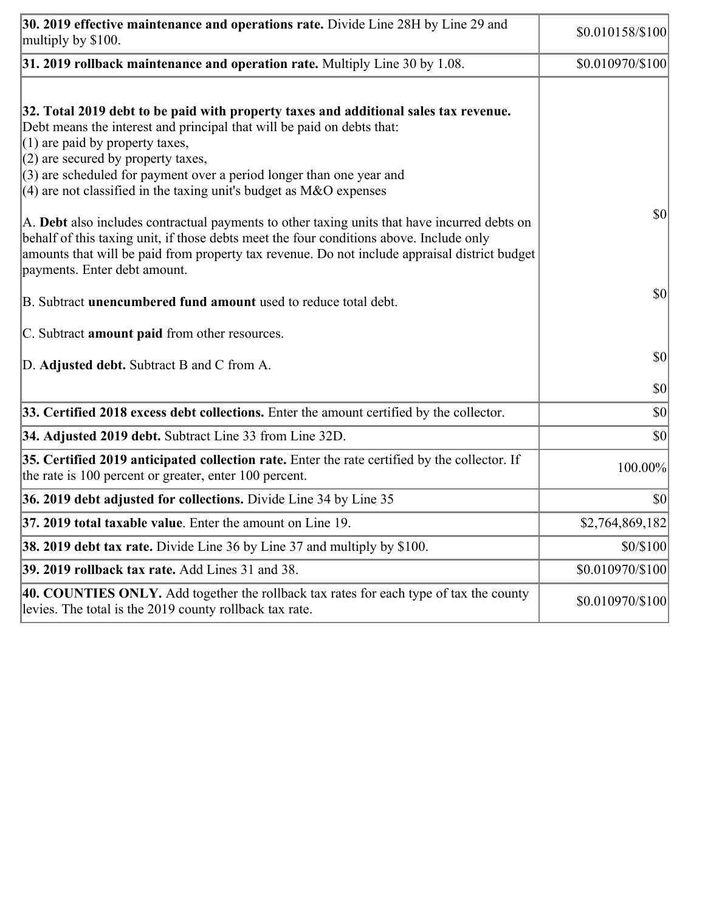| 30. 2019 effective maintenance and operations rate. Divide Line 28H by Line 29 and<br>multiply by \$100.                                                                                                                                                                                                                                                                                      | \$0.010158/\$100 |
|-----------------------------------------------------------------------------------------------------------------------------------------------------------------------------------------------------------------------------------------------------------------------------------------------------------------------------------------------------------------------------------------------|------------------|
| $31.2019$ rollback maintenance and operation rate. Multiply Line 30 by 1.08.                                                                                                                                                                                                                                                                                                                  | \$0.010970/\$100 |
| 32. Total 2019 debt to be paid with property taxes and additional sales tax revenue.<br>Debt means the interest and principal that will be paid on debts that:<br>$(1)$ are paid by property taxes,<br>$(2)$ are secured by property taxes,<br>$(3)$ are scheduled for payment over a period longer than one year and<br>$(4)$ are not classified in the taxing unit's budget as M&O expenses |                  |
| A. Debt also includes contractual payments to other taxing units that have incurred debts on<br>behalf of this taxing unit, if those debts meet the four conditions above. Include only<br>amounts that will be paid from property tax revenue. Do not include appraisal district budget<br>payments. Enter debt amount.                                                                      | \$0              |
| B. Subtract unencumbered fund amount used to reduce total debt.                                                                                                                                                                                                                                                                                                                               | $ 10\rangle$     |
| C. Subtract amount paid from other resources.                                                                                                                                                                                                                                                                                                                                                 |                  |
| D. Adjusted debt. Subtract B and C from A.                                                                                                                                                                                                                                                                                                                                                    | \$0              |
|                                                                                                                                                                                                                                                                                                                                                                                               | \$0              |
| 33. Certified 2018 excess debt collections. Enter the amount certified by the collector.                                                                                                                                                                                                                                                                                                      | \$0              |
| 34. Adjusted 2019 debt. Subtract Line 33 from Line 32D.                                                                                                                                                                                                                                                                                                                                       | \$0              |
| 35. Certified 2019 anticipated collection rate. Enter the rate certified by the collector. If<br>the rate is 100 percent or greater, enter 100 percent.                                                                                                                                                                                                                                       | 100.00%          |
| 36. 2019 debt adjusted for collections. Divide Line 34 by Line 35                                                                                                                                                                                                                                                                                                                             | \$0              |
| 37. 2019 total taxable value. Enter the amount on Line 19.                                                                                                                                                                                                                                                                                                                                    | \$2,764,869,182  |
| <b>38. 2019 debt tax rate.</b> Divide Line 36 by Line 37 and multiply by \$100.                                                                                                                                                                                                                                                                                                               | \$0/\$100        |
| 39. 2019 rollback tax rate. Add Lines 31 and 38.                                                                                                                                                                                                                                                                                                                                              | \$0.010970/\$100 |
| 40. COUNTIES ONLY. Add together the rollback tax rates for each type of tax the county<br>levies. The total is the 2019 county rollback tax rate.                                                                                                                                                                                                                                             | \$0.010970/\$100 |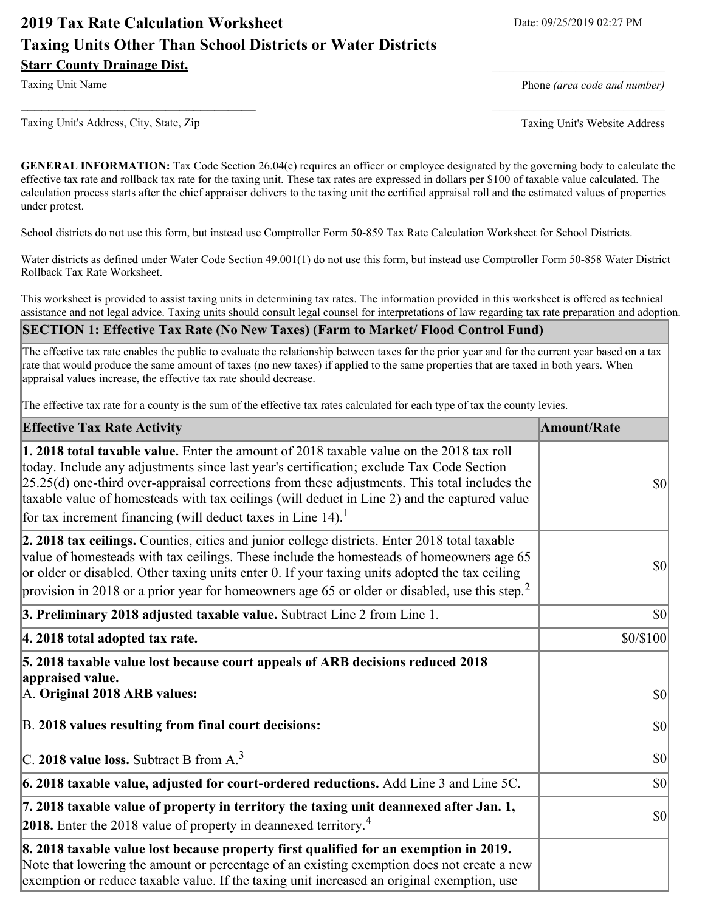# **2019 Tax Rate Calculation Worksheet** Date: 09/25/2019 02:27 PM **Taxing Units Other Than School Districts or Water Districts Starr County Drainage Dist.**

Taxing Unit Name **Phone** *(area code and number)* Phone *(area code and number)* 

Taxing Unit's Address, City, State, Zip Taxing Unit's Website Address

**GENERAL INFORMATION:** Tax Code Section 26.04(c) requires an officer or employee designated by the governing body to calculate the effective tax rate and rollback tax rate for the taxing unit. These tax rates are expressed in dollars per \$100 of taxable value calculated. The calculation process starts after the chief appraiser delivers to the taxing unit the certified appraisal roll and the estimated values of properties under protest.

**\_\_\_\_\_\_\_\_\_\_\_\_\_\_\_\_\_\_\_\_\_\_\_\_\_\_\_\_\_\_\_\_\_\_** \_\_\_\_\_\_\_\_\_\_\_\_\_\_\_\_\_\_\_\_\_\_\_\_\_

School districts do not use this form, but instead use Comptroller Form 50-859 Tax Rate Calculation Worksheet for School Districts.

Water districts as defined under Water Code Section 49.001(1) do not use this form, but instead use Comptroller Form 50-858 Water District Rollback Tax Rate Worksheet.

This worksheet is provided to assist taxing units in determining tax rates. The information provided in this worksheet is offered as technical assistance and not legal advice. Taxing units should consult legal counsel for interpretations of law regarding tax rate preparation and adoption.

#### **SECTION 1: Effective Tax Rate (No New Taxes) (Farm to Market/ Flood Control Fund)**

The effective tax rate enables the public to evaluate the relationship between taxes for the prior year and for the current year based on a tax rate that would produce the same amount of taxes (no new taxes) if applied to the same properties that are taxed in both years. When appraisal values increase, the effective tax rate should decrease.

The effective tax rate for a county is the sum of the effective tax rates calculated for each type of tax the county levies.

| <b>Effective Tax Rate Activity</b>                                                                                                                                                                                                                                                                                                                                                                                                                                      | <b>Amount/Rate</b> |
|-------------------------------------------------------------------------------------------------------------------------------------------------------------------------------------------------------------------------------------------------------------------------------------------------------------------------------------------------------------------------------------------------------------------------------------------------------------------------|--------------------|
| 1. 2018 total taxable value. Enter the amount of 2018 taxable value on the 2018 tax roll<br>today. Include any adjustments since last year's certification; exclude Tax Code Section<br>$[25.25(d)$ one-third over-appraisal corrections from these adjustments. This total includes the<br>taxable value of homesteads with tax ceilings (will deduct in Line 2) and the captured value<br>for tax increment financing (will deduct taxes in Line $14$ ). <sup>1</sup> | <b>\$0</b>         |
| 2. 2018 tax ceilings. Counties, cities and junior college districts. Enter 2018 total taxable<br>value of homesteads with tax ceilings. These include the homesteads of homeowners age 65<br>or older or disabled. Other taxing units enter 0. If your taxing units adopted the tax ceiling<br>provision in 2018 or a prior year for homeowners age 65 or older or disabled, use this step. <sup>2</sup>                                                                | $ 10\rangle$       |
| 3. Preliminary 2018 adjusted taxable value. Subtract Line 2 from Line 1.                                                                                                                                                                                                                                                                                                                                                                                                | $ 10\rangle$       |
| 4. 2018 total adopted tax rate.                                                                                                                                                                                                                                                                                                                                                                                                                                         | \$0/\$100          |
| 5. 2018 taxable value lost because court appeals of ARB decisions reduced 2018<br>appraised value.                                                                                                                                                                                                                                                                                                                                                                      |                    |
| A. Original 2018 ARB values:                                                                                                                                                                                                                                                                                                                                                                                                                                            | $\vert$ so $\vert$ |
| B. 2018 values resulting from final court decisions:                                                                                                                                                                                                                                                                                                                                                                                                                    | $ 10\rangle$       |
| C. 2018 value loss. Subtract B from $A3$                                                                                                                                                                                                                                                                                                                                                                                                                                | $ 10\rangle$       |
| 6. 2018 taxable value, adjusted for court-ordered reductions. Add Line 3 and Line 5C.                                                                                                                                                                                                                                                                                                                                                                                   | $ 10\rangle$       |
| 7. 2018 taxable value of property in territory the taxing unit deannexed after Jan. 1,<br><b>2018.</b> Enter the 2018 value of property in deannexed territory. <sup>4</sup>                                                                                                                                                                                                                                                                                            | $ 10\rangle$       |
| 8. 2018 taxable value lost because property first qualified for an exemption in 2019.<br>Note that lowering the amount or percentage of an existing exemption does not create a new<br>exemption or reduce taxable value. If the taxing unit increased an original exemption, use                                                                                                                                                                                       |                    |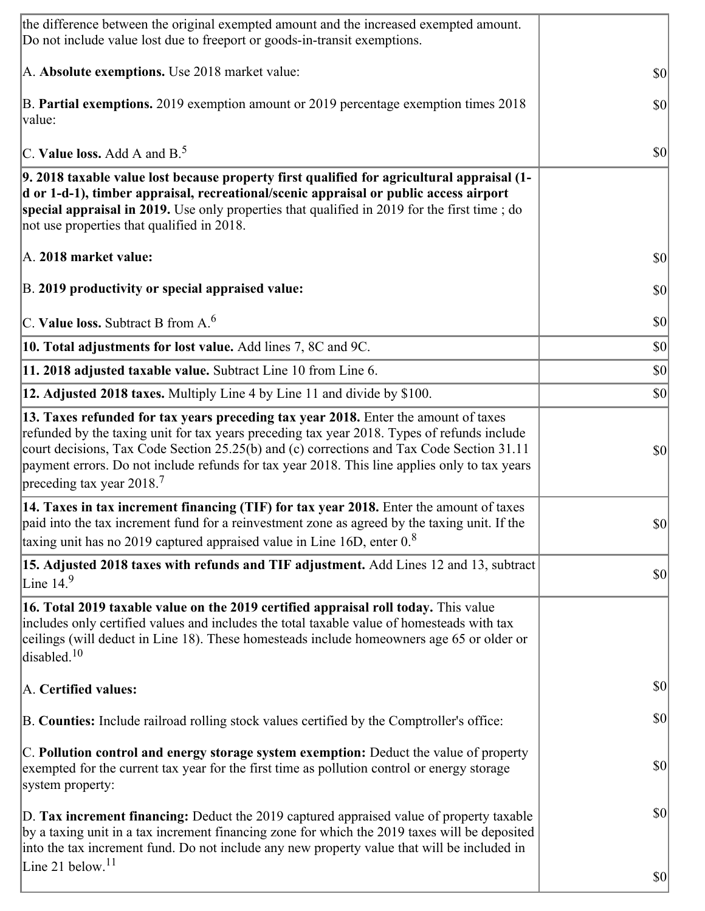| the difference between the original exempted amount and the increased exempted amount.<br>Do not include value lost due to freeport or goods-in-transit exemptions.                                                                                                                                                                                                                                                        |              |
|----------------------------------------------------------------------------------------------------------------------------------------------------------------------------------------------------------------------------------------------------------------------------------------------------------------------------------------------------------------------------------------------------------------------------|--------------|
| A. Absolute exemptions. Use 2018 market value:                                                                                                                                                                                                                                                                                                                                                                             | <b>\$0</b>   |
| B. Partial exemptions. 2019 exemption amount or 2019 percentage exemption times 2018<br>value:                                                                                                                                                                                                                                                                                                                             | \$0          |
| C. Value loss. Add A and $B^5$ .                                                                                                                                                                                                                                                                                                                                                                                           | $ 10\rangle$ |
| 9. 2018 taxable value lost because property first qualified for agricultural appraisal (1-<br>d or 1-d-1), timber appraisal, recreational/scenic appraisal or public access airport<br>special appraisal in 2019. Use only properties that qualified in 2019 for the first time; do<br>not use properties that qualified in 2018.                                                                                          |              |
| A. 2018 market value:                                                                                                                                                                                                                                                                                                                                                                                                      | $ 10\rangle$ |
| B. 2019 productivity or special appraised value:                                                                                                                                                                                                                                                                                                                                                                           | \$0          |
| C. Value loss. Subtract B from $A6$                                                                                                                                                                                                                                                                                                                                                                                        | \$0          |
| 10. Total adjustments for lost value. Add lines 7, 8C and 9C.                                                                                                                                                                                                                                                                                                                                                              | \$0          |
| 11. 2018 adjusted taxable value. Subtract Line 10 from Line 6.                                                                                                                                                                                                                                                                                                                                                             | $ 10\rangle$ |
| 12. Adjusted 2018 taxes. Multiply Line 4 by Line 11 and divide by \$100.                                                                                                                                                                                                                                                                                                                                                   | \$0          |
| 13. Taxes refunded for tax years preceding tax year 2018. Enter the amount of taxes<br>refunded by the taxing unit for tax years preceding tax year 2018. Types of refunds include<br>court decisions, Tax Code Section 25.25(b) and (c) corrections and Tax Code Section 31.11<br>payment errors. Do not include refunds for tax year 2018. This line applies only to tax years<br>preceding tax year $2018$ <sup>7</sup> | $ 10\rangle$ |
| 14. Taxes in tax increment financing (TIF) for tax year 2018. Enter the amount of taxes<br>paid into the tax increment fund for a reinvestment zone as agreed by the taxing unit. If the<br>taxing unit has no 2019 captured appraised value in Line 16D, enter $0.8$                                                                                                                                                      | \$0          |
| 15. Adjusted 2018 taxes with refunds and TIF adjustment. Add Lines 12 and 13, subtract<br>Line $149$                                                                                                                                                                                                                                                                                                                       | $ 10\rangle$ |
| 16. Total 2019 taxable value on the 2019 certified appraisal roll today. This value<br>includes only certified values and includes the total taxable value of homesteads with tax<br>ceilings (will deduct in Line 18). These homesteads include homeowners age 65 or older or<br>disabled. <sup>10</sup>                                                                                                                  |              |
| A. Certified values:                                                                                                                                                                                                                                                                                                                                                                                                       | $ 10\rangle$ |
| B. Counties: Include railroad rolling stock values certified by the Comptroller's office:                                                                                                                                                                                                                                                                                                                                  | $ 10\rangle$ |
| C. Pollution control and energy storage system exemption: Deduct the value of property<br>exempted for the current tax year for the first time as pollution control or energy storage<br>system property:                                                                                                                                                                                                                  | \$0          |
| D. Tax increment financing: Deduct the 2019 captured appraised value of property taxable<br>by a taxing unit in a tax increment financing zone for which the 2019 taxes will be deposited<br>into the tax increment fund. Do not include any new property value that will be included in<br>Line 21 below. <sup>11</sup>                                                                                                   | \$0          |
|                                                                                                                                                                                                                                                                                                                                                                                                                            | $ 10\rangle$ |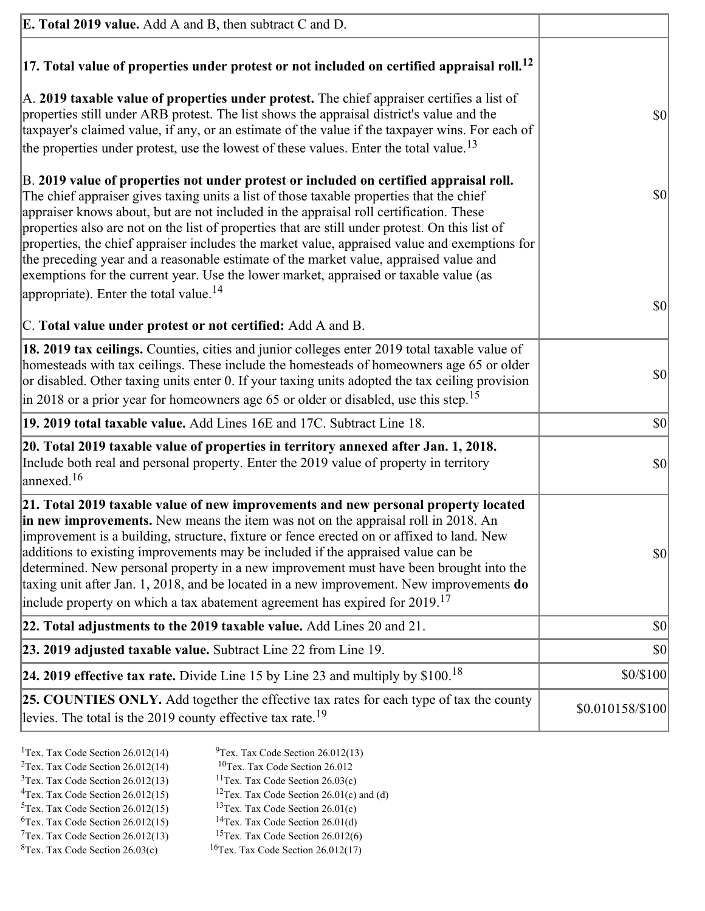| <b>E. Total 2019 value.</b> Add A and B, then subtract C and D.                                                                                                                                                                                                                                                                                                                                                                                                                                                                                                                                                                                                                                                          |                  |
|--------------------------------------------------------------------------------------------------------------------------------------------------------------------------------------------------------------------------------------------------------------------------------------------------------------------------------------------------------------------------------------------------------------------------------------------------------------------------------------------------------------------------------------------------------------------------------------------------------------------------------------------------------------------------------------------------------------------------|------------------|
| $ 17$ . Total value of properties under protest or not included on certified appraisal roll. <sup>12</sup>                                                                                                                                                                                                                                                                                                                                                                                                                                                                                                                                                                                                               |                  |
| A. 2019 taxable value of properties under protest. The chief appraiser certifies a list of<br>properties still under ARB protest. The list shows the appraisal district's value and the<br>taxpayer's claimed value, if any, or an estimate of the value if the taxpayer wins. For each of<br>the properties under protest, use the lowest of these values. Enter the total value. <sup>13</sup>                                                                                                                                                                                                                                                                                                                         | \$0              |
| B. 2019 value of properties not under protest or included on certified appraisal roll.<br>The chief appraiser gives taxing units a list of those taxable properties that the chief<br>appraiser knows about, but are not included in the appraisal roll certification. These<br>properties also are not on the list of properties that are still under protest. On this list of<br>properties, the chief appraiser includes the market value, appraised value and exemptions for<br>the preceding year and a reasonable estimate of the market value, appraised value and<br>exemptions for the current year. Use the lower market, appraised or taxable value (as<br>appropriate). Enter the total value. <sup>14</sup> | $ 10\rangle$     |
|                                                                                                                                                                                                                                                                                                                                                                                                                                                                                                                                                                                                                                                                                                                          | \$0              |
| C. Total value under protest or not certified: Add A and B.                                                                                                                                                                                                                                                                                                                                                                                                                                                                                                                                                                                                                                                              |                  |
| 18. 2019 tax ceilings. Counties, cities and junior colleges enter 2019 total taxable value of<br>homesteads with tax ceilings. These include the homesteads of homeowners age 65 or older<br>or disabled. Other taxing units enter 0. If your taxing units adopted the tax ceiling provision<br>$\vert$ in 2018 or a prior year for homeowners age 65 or older or disabled, use this step. <sup>15</sup>                                                                                                                                                                                                                                                                                                                 | $ 10\rangle$     |
| 19. 2019 total taxable value. Add Lines 16E and 17C. Subtract Line 18.                                                                                                                                                                                                                                                                                                                                                                                                                                                                                                                                                                                                                                                   | $ 10\rangle$     |
| 20. Total 2019 taxable value of properties in territory annexed after Jan. 1, 2018.<br>Include both real and personal property. Enter the 2019 value of property in territory<br>$\alpha$ annexed. <sup>16</sup>                                                                                                                                                                                                                                                                                                                                                                                                                                                                                                         | $ 10\rangle$     |
| 21. Total 2019 taxable value of new improvements and new personal property located<br><b>in new improvements.</b> New means the item was not on the appraisal roll in 2018. An<br>improvement is a building, structure, fixture or fence erected on or affixed to land. New<br>additions to existing improvements may be included if the appraised value can be<br>determined. New personal property in a new improvement must have been brought into the<br>taxing unit after Jan. 1, 2018, and be located in a new improvement. New improvements do<br>include property on which a tax abatement agreement has expired for $2019$ . <sup>17</sup>                                                                      | $ 10\rangle$     |
| 22. Total adjustments to the 2019 taxable value. Add Lines 20 and 21.                                                                                                                                                                                                                                                                                                                                                                                                                                                                                                                                                                                                                                                    | \$0              |
| 23. 2019 adjusted taxable value. Subtract Line 22 from Line 19.                                                                                                                                                                                                                                                                                                                                                                                                                                                                                                                                                                                                                                                          | \$0              |
| 24. 2019 effective tax rate. Divide Line 15 by Line 23 and multiply by $$100$ . <sup>18</sup>                                                                                                                                                                                                                                                                                                                                                                                                                                                                                                                                                                                                                            | \$0/\$100        |
| 25. COUNTIES ONLY. Add together the effective tax rates for each type of tax the county<br>levies. The total is the 2019 county effective tax rate. <sup>19</sup>                                                                                                                                                                                                                                                                                                                                                                                                                                                                                                                                                        | \$0.010158/\$100 |

- <sup>1</sup>Tex. Tax Code Section 26.012(14) <sup>9</sup>Tex. Tax Code Section 26.012(13) <sup>9</sup>Tex. Tax Code Section 26.012
	-
- <sup>2</sup>Tex. Tax Code Section 26.012(14)<br><sup>3</sup>Tex. Tax Code Section 26.012(13)
- 
- <sup>3</sup>Tex. Tax Code Section 26.012(13) <sup>11</sup>Tex. Tax Code Section 26.03(c) <sup>4</sup>Tex. Tax Code Section 26.01(c)
	-
- 
- <sup>6</sup>Tex. Tax Code Section 26.012(15)<br><sup>7</sup>Tex. Tax Code Section 26.012(13)
- 
- 
- <sup>4</sup>Tex. Tax Code Section 26.012(15) <sup>12</sup>Tex. Tax Code Section 26.01(c) and (d)<br><sup>5</sup>Tex. Tax Code Section 26.012(15) <sup>13</sup>Tex. Tax Code Section 26.01(c)
	- <sup>13</sup>Tex. Tax Code Section 26.01(c) <sup>14</sup>Tex. Tax Code Section 26.01(d)
	-
- <sup>7</sup>Tex. Tax Code Section 26.012(13) <sup>15</sup>Tex. Tax Code Section 26.012(6)<br><sup>8</sup>Tex. Tax Code Section 26.03(c) <sup>16</sup>Tex. Tax Code Section 26.012(17)
	- $16$ Tex. Tax Code Section 26.012(17)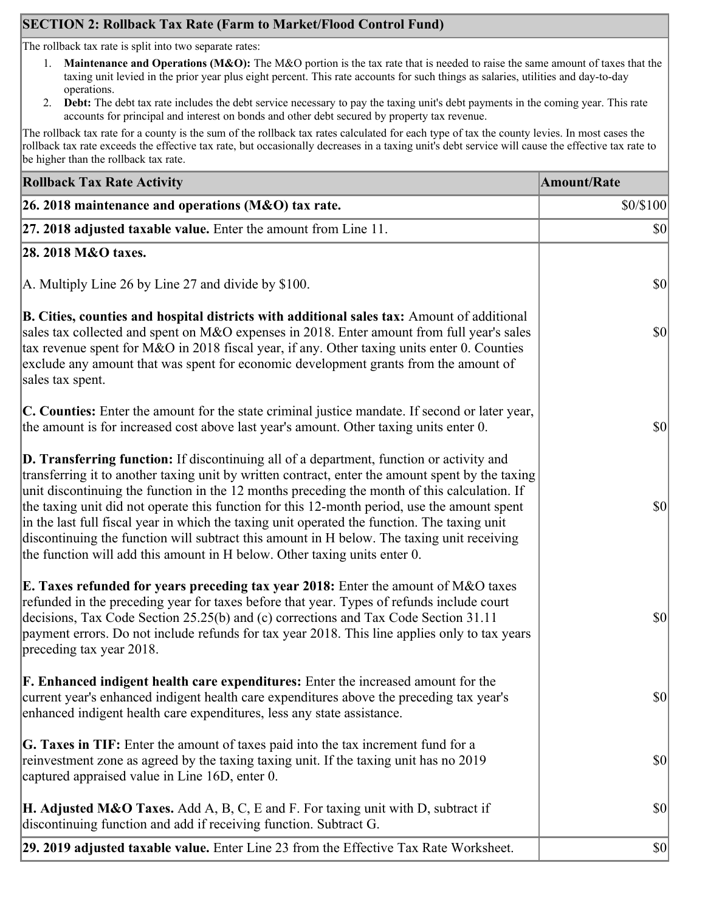# **SECTION 2: Rollback Tax Rate (Farm to Market/Flood Control Fund)**

The rollback tax rate is split into two separate rates:

- 1. **Maintenance and Operations (M&O):** The M&O portion is the tax rate that is needed to raise the same amount of taxes that the taxing unit levied in the prior year plus eight percent. This rate accounts for such things as salaries, utilities and day-to-day operations.
- 2. **Debt:** The debt tax rate includes the debt service necessary to pay the taxing unit's debt payments in the coming year. This rate accounts for principal and interest on bonds and other debt secured by property tax revenue.

The rollback tax rate for a county is the sum of the rollback tax rates calculated for each type of tax the county levies. In most cases the rollback tax rate exceeds the effective tax rate, but occasionally decreases in a taxing unit's debt service will cause the effective tax rate to be higher than the rollback tax rate.

| <b>Rollback Tax Rate Activity</b>                                                                                                                                                                                                                                                                                                                                                                                                                                                                                                                                                                                                                                       | <b>Amount/Rate</b> |
|-------------------------------------------------------------------------------------------------------------------------------------------------------------------------------------------------------------------------------------------------------------------------------------------------------------------------------------------------------------------------------------------------------------------------------------------------------------------------------------------------------------------------------------------------------------------------------------------------------------------------------------------------------------------------|--------------------|
| 26. 2018 maintenance and operations ( $M&O$ ) tax rate.                                                                                                                                                                                                                                                                                                                                                                                                                                                                                                                                                                                                                 | \$0/\$100          |
| 27. 2018 adjusted taxable value. Enter the amount from Line 11.                                                                                                                                                                                                                                                                                                                                                                                                                                                                                                                                                                                                         | $ 10\rangle$       |
| 28. 2018 M&O taxes.                                                                                                                                                                                                                                                                                                                                                                                                                                                                                                                                                                                                                                                     |                    |
| A. Multiply Line 26 by Line 27 and divide by \$100.                                                                                                                                                                                                                                                                                                                                                                                                                                                                                                                                                                                                                     | $ 10\rangle$       |
| B. Cities, counties and hospital districts with additional sales tax: Amount of additional<br>sales tax collected and spent on M&O expenses in 2018. Enter amount from full year's sales<br>tax revenue spent for M&O in 2018 fiscal year, if any. Other taxing units enter 0. Counties<br>exclude any amount that was spent for economic development grants from the amount of<br>sales tax spent.                                                                                                                                                                                                                                                                     | $ 10\rangle$       |
| C. Counties: Enter the amount for the state criminal justice mandate. If second or later year,<br>the amount is for increased cost above last year's amount. Other taxing units enter 0.                                                                                                                                                                                                                                                                                                                                                                                                                                                                                | $ 10\rangle$       |
| D. Transferring function: If discontinuing all of a department, function or activity and<br>transferring it to another taxing unit by written contract, enter the amount spent by the taxing<br>unit discontinuing the function in the 12 months preceding the month of this calculation. If<br>the taxing unit did not operate this function for this 12-month period, use the amount spent<br>in the last full fiscal year in which the taxing unit operated the function. The taxing unit<br>discontinuing the function will subtract this amount in H below. The taxing unit receiving<br>the function will add this amount in H below. Other taxing units enter 0. | $ 10\rangle$       |
| <b>E. Taxes refunded for years preceding tax year 2018:</b> Enter the amount of M&O taxes<br>refunded in the preceding year for taxes before that year. Types of refunds include court<br>decisions, Tax Code Section 25.25(b) and (c) corrections and Tax Code Section 31.11<br>payment errors. Do not include refunds for tax year 2018. This line applies only to tax years<br>preceding tax year 2018.                                                                                                                                                                                                                                                              | $ 10\rangle$       |
| <b>F. Enhanced indigent health care expenditures:</b> Enter the increased amount for the<br>current year's enhanced indigent health care expenditures above the preceding tax year's<br>enhanced indigent health care expenditures, less any state assistance.                                                                                                                                                                                                                                                                                                                                                                                                          | $ 10\rangle$       |
| G. Taxes in TIF: Enter the amount of taxes paid into the tax increment fund for a<br>reinvestment zone as agreed by the taxing taxing unit. If the taxing unit has no 2019<br>captured appraised value in Line 16D, enter 0.                                                                                                                                                                                                                                                                                                                                                                                                                                            | $ 10\rangle$       |
| <b>H. Adjusted M&amp;O Taxes.</b> Add A, B, C, E and F. For taxing unit with D, subtract if<br>discontinuing function and add if receiving function. Subtract G.                                                                                                                                                                                                                                                                                                                                                                                                                                                                                                        | $ 10\rangle$       |
| 29. 2019 adjusted taxable value. Enter Line 23 from the Effective Tax Rate Worksheet.                                                                                                                                                                                                                                                                                                                                                                                                                                                                                                                                                                                   | $ 10\rangle$       |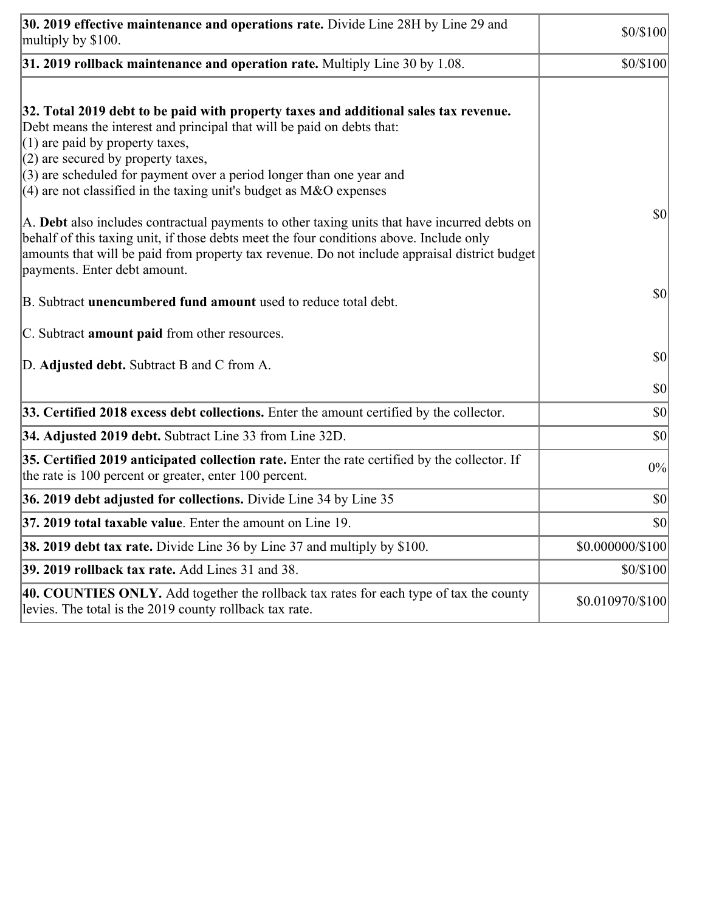| 30. 2019 effective maintenance and operations rate. Divide Line 28H by Line 29 and<br>multiply by \$100.                                                                                                                                                                                                                                                                                                                                                                                                                                                                                                                                                                                                                  | \$0/\$100        |
|---------------------------------------------------------------------------------------------------------------------------------------------------------------------------------------------------------------------------------------------------------------------------------------------------------------------------------------------------------------------------------------------------------------------------------------------------------------------------------------------------------------------------------------------------------------------------------------------------------------------------------------------------------------------------------------------------------------------------|------------------|
| $31.2019$ rollback maintenance and operation rate. Multiply Line 30 by 1.08.                                                                                                                                                                                                                                                                                                                                                                                                                                                                                                                                                                                                                                              | \$0/\$100        |
| 32. Total 2019 debt to be paid with property taxes and additional sales tax revenue.<br>Debt means the interest and principal that will be paid on debts that:<br>$(1)$ are paid by property taxes,<br>$(2)$ are secured by property taxes,<br>$(3)$ are scheduled for payment over a period longer than one year and<br>$(4)$ are not classified in the taxing unit's budget as M&O expenses<br>A. Debt also includes contractual payments to other taxing units that have incurred debts on<br>behalf of this taxing unit, if those debts meet the four conditions above. Include only<br>amounts that will be paid from property tax revenue. Do not include appraisal district budget<br>payments. Enter debt amount. | 30               |
| B. Subtract unencumbered fund amount used to reduce total debt.<br>C. Subtract <b>amount paid</b> from other resources.                                                                                                                                                                                                                                                                                                                                                                                                                                                                                                                                                                                                   | \$0              |
| D. Adjusted debt. Subtract B and C from A.                                                                                                                                                                                                                                                                                                                                                                                                                                                                                                                                                                                                                                                                                | $ 10\rangle$     |
|                                                                                                                                                                                                                                                                                                                                                                                                                                                                                                                                                                                                                                                                                                                           | \$0              |
| 33. Certified 2018 excess debt collections. Enter the amount certified by the collector.                                                                                                                                                                                                                                                                                                                                                                                                                                                                                                                                                                                                                                  | \$0              |
| 34. Adjusted 2019 debt. Subtract Line 33 from Line 32D.                                                                                                                                                                                                                                                                                                                                                                                                                                                                                                                                                                                                                                                                   | \$0              |
| 35. Certified 2019 anticipated collection rate. Enter the rate certified by the collector. If<br>the rate is 100 percent or greater, enter 100 percent.                                                                                                                                                                                                                                                                                                                                                                                                                                                                                                                                                                   | 0%               |
| 36. 2019 debt adjusted for collections. Divide Line 34 by Line 35                                                                                                                                                                                                                                                                                                                                                                                                                                                                                                                                                                                                                                                         | $ 10\rangle$     |
| 37. 2019 total taxable value. Enter the amount on Line 19                                                                                                                                                                                                                                                                                                                                                                                                                                                                                                                                                                                                                                                                 | $ 10\rangle$     |
| <b>38. 2019 debt tax rate.</b> Divide Line 36 by Line 37 and multiply by \$100.                                                                                                                                                                                                                                                                                                                                                                                                                                                                                                                                                                                                                                           | \$0.000000/\$100 |
| 39. 2019 rollback tax rate. Add Lines 31 and 38.                                                                                                                                                                                                                                                                                                                                                                                                                                                                                                                                                                                                                                                                          | \$0/\$100        |
| 40. COUNTIES ONLY. Add together the rollback tax rates for each type of tax the county<br>levies. The total is the 2019 county rollback tax rate.                                                                                                                                                                                                                                                                                                                                                                                                                                                                                                                                                                         | \$0.010970/\$100 |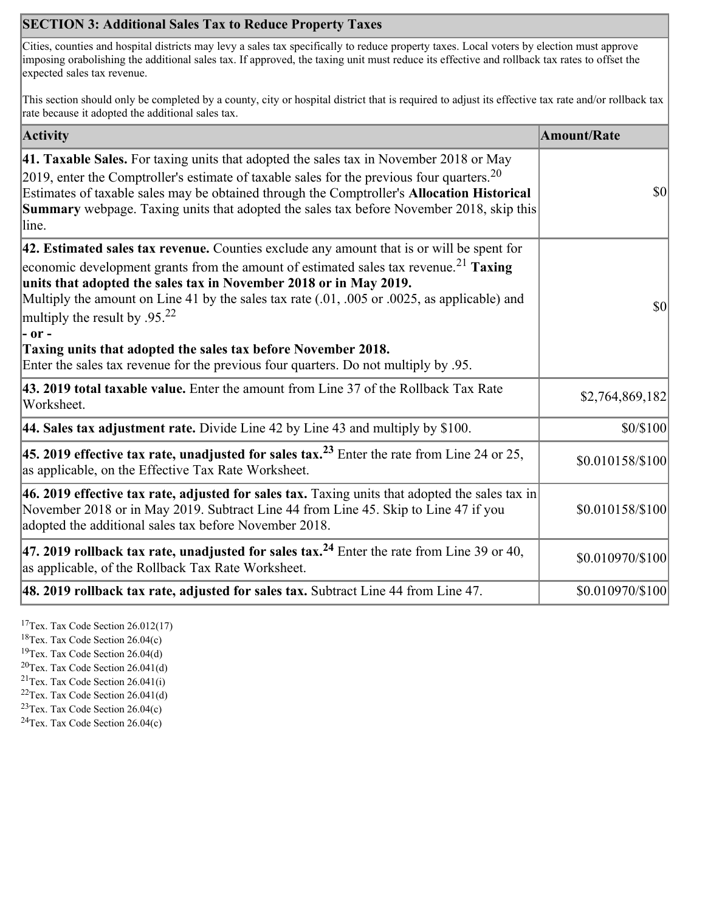# **SECTION 3: Additional Sales Tax to Reduce Property Taxes**

Cities, counties and hospital districts may levy a sales tax specifically to reduce property taxes. Local voters by election must approve imposing orabolishing the additional sales tax. If approved, the taxing unit must reduce its effective and rollback tax rates to offset the expected sales tax revenue.

This section should only be completed by a county, city or hospital district that is required to adjust its effective tax rate and/or rollback tax rate because it adopted the additional sales tax.

| <b>Activity</b>                                                                                                                                                                                                                                                                                                                                                                                                                                                                                                                                                                        | <b>Amount/Rate</b> |
|----------------------------------------------------------------------------------------------------------------------------------------------------------------------------------------------------------------------------------------------------------------------------------------------------------------------------------------------------------------------------------------------------------------------------------------------------------------------------------------------------------------------------------------------------------------------------------------|--------------------|
| 41. Taxable Sales. For taxing units that adopted the sales tax in November 2018 or May<br>[2019, enter the Comptroller's estimate of taxable sales for the previous four quarters. <sup>20</sup><br>Estimates of taxable sales may be obtained through the Comptroller's Allocation Historical<br><b>Summary</b> webpage. Taxing units that adopted the sales tax before November 2018, skip this<br>line.                                                                                                                                                                             | $ 10\rangle$       |
| $ 42$ . Estimated sales tax revenue. Counties exclude any amount that is or will be spent for<br>economic development grants from the amount of estimated sales tax revenue. <sup>21</sup> Taxing<br>units that adopted the sales tax in November 2018 or in May 2019.<br>Multiply the amount on Line 41 by the sales tax rate (.01, .005 or .0025, as applicable) and<br>multiply the result by .95. <sup>22</sup><br> - or -<br>Taxing units that adopted the sales tax before November 2018.<br>Enter the sales tax revenue for the previous four quarters. Do not multiply by .95. | $ 10\rangle$       |
| 43. 2019 total taxable value. Enter the amount from Line 37 of the Rollback Tax Rate<br>Worksheet.                                                                                                                                                                                                                                                                                                                                                                                                                                                                                     | \$2,764,869,182    |
| 44. Sales tax adjustment rate. Divide Line 42 by Line 43 and multiply by $$100$ .                                                                                                                                                                                                                                                                                                                                                                                                                                                                                                      | \$0/\$100          |
| 45. 2019 effective tax rate, unadjusted for sales tax. <sup>23</sup> Enter the rate from Line 24 or 25,<br>as applicable, on the Effective Tax Rate Worksheet.                                                                                                                                                                                                                                                                                                                                                                                                                         | \$0.010158/\$100   |
| 46. 2019 effective tax rate, adjusted for sales tax. Taxing units that adopted the sales tax in<br>November 2018 or in May 2019. Subtract Line 44 from Line 45. Skip to Line 47 if you<br>adopted the additional sales tax before November 2018.                                                                                                                                                                                                                                                                                                                                       | \$0.010158/\$100   |
| 47. 2019 rollback tax rate, unadjusted for sales tax. <sup>24</sup> Enter the rate from Line 39 or 40,<br>as applicable, of the Rollback Tax Rate Worksheet.                                                                                                                                                                                                                                                                                                                                                                                                                           | \$0.010970/\$100   |
| [48. 2019 rollback tax rate, adjusted for sales tax. Subtract Line 44 from Line 47.                                                                                                                                                                                                                                                                                                                                                                                                                                                                                                    | \$0.010970/\$100   |

<sup>17</sup>Tex. Tax Code Section 26.012(17)

<sup>18</sup>Tex. Tax Code Section 26.04(c)

<sup>19</sup>Tex. Tax Code Section 26.04(d)

 $20$ Tex. Tax Code Section 26.041(d)

<sup>21</sup>Tex. Tax Code Section  $26.041(i)$ 

 $22$ Tex. Tax Code Section 26.041(d)

 $23$ Tex. Tax Code Section 26.04(c)  $24$ Tex. Tax Code Section 26.04(c)